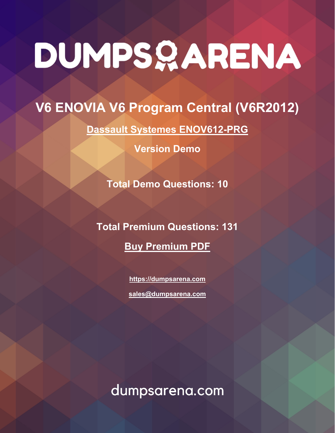# **V6 ENOVIA V6 Program Central (V6R2012)**

**[Dassault Systemes ENOV612-PRG](https://dumpsarena.com/exam/enov612-prg/)**

**Version Demo**

**Total Demo Questions: 10**

**Total Premium Questions: 131 [Buy Premium PDF](https://dumpsarena.com/exam/enov612-prg/)**

> **[https://dumpsarena.com](https://dumpsarena.com/) [sales@dumpsarena.com](mailto:sales@dumpsarena.com)**

dumpsarena.com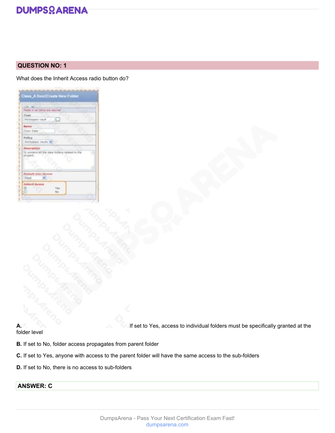

# **QUESTION NO: 1**

What does the Inherit Access radio button do?

| 128.192.000                                                 |                           |   |
|-------------------------------------------------------------|---------------------------|---|
| Market in red Hallon are required                           |                           |   |
| Typie<br><b>Their steppens of</b>                           |                           |   |
| Rame<br>Dear Date:                                          |                           |   |
| Pulicy<br>Welkelake Vaults 36                               |                           |   |
| Description.<br>It contains all the dis-<br><b>Ursuleit</b> | a folders inclaimd to the | n |
| O                                                           |                           |   |
|                                                             |                           |   |
| <b>Default User Access</b><br><b>Read</b><br>۰              |                           |   |

**A.** If set to Yes, access to individual folders must be specifically granted at the

# folder level

**B.** If set to No, folder access propagates from parent folder

- **C.** If set to Yes, anyone with access to the parent folder will have the same access to the sub-folders
- **D.** If set to No, there is no access to sub-folders

# **ANSWER: C**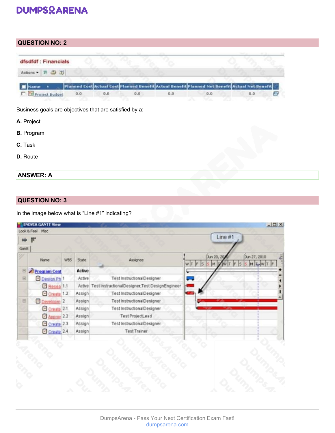# **QUESTION NO: 2**

| dfsdfdf: Financials                                            |  |  |                                                                                                |  |
|----------------------------------------------------------------|--|--|------------------------------------------------------------------------------------------------|--|
| Actions $\bullet$ $\overline{P}$ $\overline{Q}$ $\overline{Q}$ |  |  |                                                                                                |  |
|                                                                |  |  | Planned Cost Actual Cost Planned Benefit Actual Benefit Planned Net Benefit Actual Net Benefit |  |
|                                                                |  |  |                                                                                                |  |

Business goals are objectives that are satisfied by a:

- **A.** Project
- **B.** Program
- **C.** Task
- **D.** Route

# **ANSWER: A**

# **QUESTION NO: 3**

In the image below what is "Line #1" indicating?

| 蝉     |                        |            |               |                                                 | Line #1                                       |
|-------|------------------------|------------|---------------|-------------------------------------------------|-----------------------------------------------|
| Gantt | Name                   | <b>WBS</b> | <b>State</b>  | Assignee                                        | Jun 27, 2010<br>Jun 20, 20<br>WIT F<br>M<br>M |
| B     | Program Cent           |            | <b>Active</b> |                                                 |                                               |
| $\Xi$ | Design Ph <sup>1</sup> |            | Active        | Test InstructionalDesigner                      | –                                             |
|       | Resea 1.1              |            | Active        | Test InstructionalDesigner, Test DesignEngineer |                                               |
|       | Create 1.2             |            | Assign        | Test InstructionalDesigner                      |                                               |
| B     | Developm <sup>2</sup>  |            | Assign        | Test InstructionalDesigner                      |                                               |
|       | Create <sub>2.1</sub>  |            | Assign        | Test InstructionalDesigner                      |                                               |
|       | Approv 22              |            | Assign        | <b>Test ProjectLead</b>                         |                                               |
|       | Create 2.3             |            | Assign        | <b>Test InstructionalDesigner</b>               |                                               |
|       | Create <sub>2.4</sub>  |            | Assign        | <b>Test Trainer</b>                             |                                               |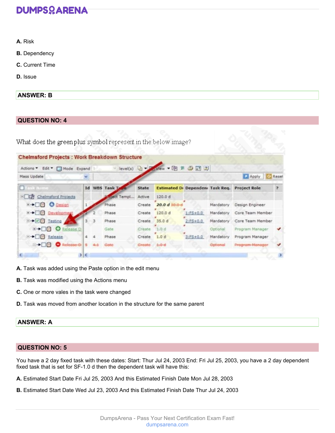- **A.** Risk
- **B.** Dependency
- **C.** Current Time
- **D.** Issue

### **ANSWER: B**

# **QUESTION NO: 4**

| <b>Chelmsford Projects: Work Breakdown Structure</b> |   |                          |               |              |                                  |              |           |                                               |  |  |
|------------------------------------------------------|---|--------------------------|---------------|--------------|----------------------------------|--------------|-----------|-----------------------------------------------|--|--|
| Actions " Edit " Mode Expand                         |   |                          |               |              | level(s) D - D - Wew - B 別 ③ 田 2 |              |           |                                               |  |  |
| Mass Update                                          |   |                          |               |              |                                  |              |           | Apply C Reset                                 |  |  |
| Task Name                                            |   |                          | Id WBS Task T | <b>State</b> |                                  |              |           | Estimated Di Dependen: Task Req. Project Role |  |  |
| <b>EDD</b> Chelmsford Projects                       |   |                          | Gject Templ   | Active       | 120.0 d                          |              |           |                                               |  |  |
| <b>E→□□ ● Design</b>                                 |   |                          | Phase         | Create       | 20.0 d                           |              | Mandatory | Design Engineer                               |  |  |
| <b>E→□□ Development</b>                              |   |                          | Phase         |              | Create 120.0 d                   | $1:FS + 0.0$ | Mardatory | Core Team Member                              |  |  |
| <b>B+00 Testing</b>                                  | 3 | $\overline{\phantom{a}}$ | Phase         | Create       | 35.0 d                           | $2:FS + 0.0$ | Mandatory | Core Team Member                              |  |  |
| <b>E→□□ O</b> Release D                              |   |                          | Gate          | Create       | 1.0 d                            |              | Optional  | Program Manager                               |  |  |
| B→□□ Release                                         | 4 |                          | Phase         | Create 1.0 d |                                  | $3:FS + 0.0$ | Mardatory | Program Manager                               |  |  |
| -DO O Release D 5                                    |   | 4-1 Gote                 |               | Greate 4.0-d |                                  |              | Getenal   | Program-Nanager                               |  |  |
|                                                      | 3 |                          |               |              |                                  |              |           |                                               |  |  |

- **A.** Task was added using the Paste option in the edit menu
- **B.** Task was modified using the Actions menu
- **C.** One or more vales in the task were changed
- **D.** Task was moved from another location in the structure for the same parent

### **ANSWER: A**

# **QUESTION NO: 5**

You have a 2 day fixed task with these dates: Start: Thur Jul 24, 2003 End: Fri Jul 25, 2003, you have a 2 day dependent fixed task that is set for SF-1.0 d then the dependent task will have this:

- **A.** Estimated Start Date Fri Jul 25, 2003 And this Estimated Finish Date Mon Jul 28, 2003
- **B.** Estimated Start Date Wed Jul 23, 2003 And this Estimated Finish Date Thur Jul 24, 2003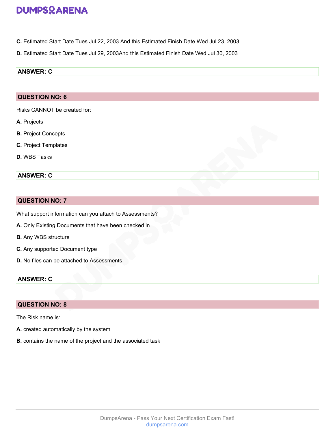- **C.** Estimated Start Date Tues Jul 22, 2003 And this Estimated Finish Date Wed Jul 23, 2003
- **D.** Estimated Start Date Tues Jul 29, 2003And this Estimated Finish Date Wed Jul 30, 2003

# **ANSWER: C**

## **QUESTION NO: 6**

Risks CANNOT be created for:

- **A.** Projects
- **B.** Project Concepts
- **C.** Project Templates
- **D.** WBS Tasks

# **ANSWER: C**

# **QUESTION NO: 7**

What support information can you attach to Assessments?

- **A.** Only Existing Documents that have been checked in
- **B.** Any WBS structure
- **C.** Any supported Document type
- **D.** No files can be attached to Assessments

# **ANSWER: C**

### **QUESTION NO: 8**

The Risk name is:

- **A.** created automatically by the system
- **B.** contains the name of the project and the associated task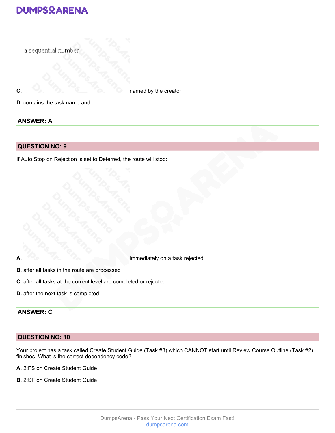

# **ANSWER: A**

# **QUESTION NO: 9**

If Auto Stop on Rejection is set to Deferred, the route will stop:

**A.** immediately on a task rejected

- **B.** after all tasks in the route are processed
- **C.** after all tasks at the current level are completed or rejected
- **D.** after the next task is completed

# **ANSWER: C**

# **QUESTION NO: 10**

Your project has a task called Create Student Guide (Task #3) which CANNOT start until Review Course Outline (Task #2) finishes. What is the correct dependency code?

- **A.** 2:FS on Create Student Guide
- **B.** 2:SF on Create Student Guide